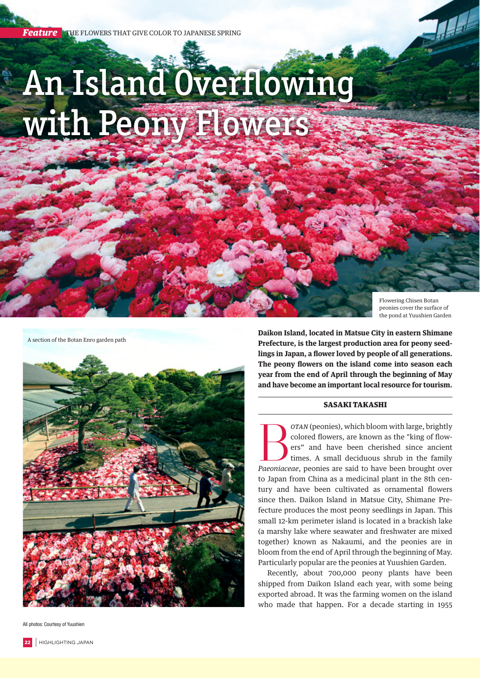## An Island Overflowing with Peony Flowers

Flowering Chisen Botan peonies cover the surface of the pond at Yuushien Garden

A section of the Botan Enro garden path



All photos: Courtesy of Yuushien

**Daikon Island, located in Matsue City in eastern Shimane Prefecture, is the largest production area for peony seedlings in Japan, a flower loved by people of all generations. The peony flowers on the island come into season each year from the end of April through the beginning of May** 

## SASAKI TAKASHI

**and have become an important local resource for tourism.**

**Botan** (peonies), which bloom with large, brightly colored flowers, are known as the "king of flowers" and have been cherished since ancient times. A small deciduous shrub in the family *Paeoniaceae*, peonies are said to colored flowers, are known as the "king of flowers" and have been cherished since ancient times. A small deciduous shrub in the family to Japan from China as a medicinal plant in the 8th century and have been cultivated as ornamental flowers since then. Daikon Island in Matsue City, Shimane Prefecture produces the most peony seedlings in Japan. This small 12-km perimeter island is located in a brackish lake (a marshy lake where seawater and freshwater are mixed together) known as Nakaumi, and the peonies are in bloom from the end of April through the beginning of May. Particularly popular are the peonies at Yuushien Garden.

Recently, about 700,000 peony plants have been shipped from Daikon Island each year, with some being exported abroad. It was the farming women on the island who made that happen. For a decade starting in 1955